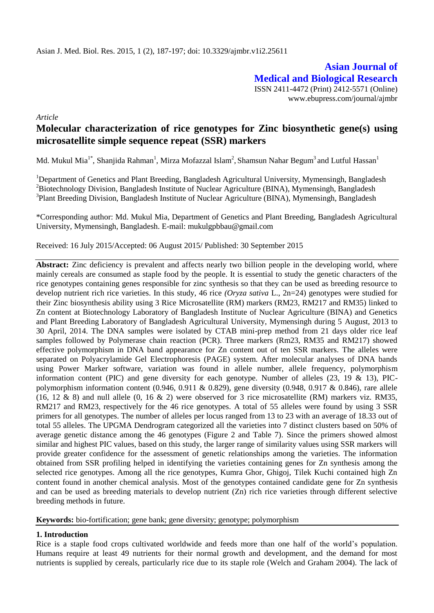**Asian Journal of Medical and Biological Research** ISSN 2411-4472 (Print) 2412-5571 (Online) www.ebupress.com/journal/ajmbr

*Article*

# **Molecular characterization of rice genotypes for Zinc biosynthetic gene(s) using microsatellite simple sequence repeat (SSR) markers**

Md. Mukul Mia $^{1*}$ , Shanjida Rahman $^{1}$ , Mirza Mofazzal Islam $^{2}$ , Shamsun Nahar Begum $^{3}$  and Lutful Hassan $^{1}$ 

<sup>1</sup>Department of Genetics and Plant Breeding, Bangladesh Agricultural University, Mymensingh, Bangladesh  ${}^{2}$ Biotechnology Division, Bangladesh Institute of Nuclear Agriculture (BINA), Mymensingh, Bangladesh <sup>3</sup>Plant Breeding Division, Bangladesh Institute of Nuclear Agriculture (BINA), Mymensingh, Bangladesh

\*Corresponding author: Md. Mukul Mia, Department of Genetics and Plant Breeding, Bangladesh Agricultural University, Mymensingh, Bangladesh. E-mail: [mukulgpbbau@gmail.com](mailto:mukulgpbbau@gmail.com)

Received: 16 July 2015/Accepted: 06 August 2015/ Published: 30 September 2015

Abstract: Zinc deficiency is prevalent and affects nearly two billion people in the developing world, where mainly cereals are consumed as staple food by the people. It is essential to study the genetic characters of the rice genotypes containing genes responsible for zinc synthesis so that they can be used as breeding resource to develop nutrient rich rice varieties. In this study, 46 rice *(Oryza sativa* L., 2n=24) genotypes were studied for their Zinc biosynthesis ability using 3 Rice Microsatellite (RM) markers (RM23, RM217 and RM35) linked to Zn content at Biotechnology Laboratory of Bangladesh Institute of Nuclear Agriculture (BINA) and Genetics and Plant Breeding Laboratory of Bangladesh Agricultural University, Mymensingh during 5 August, 2013 to 30 April, 2014. The DNA samples were isolated by CTAB mini-prep method from 21 days older rice leaf samples followed by Polymerase chain reaction (PCR). Three markers (Rm23, RM35 and RM217) showed effective polymorphism in DNA band appearance for Zn content out of ten SSR markers. The alleles were separated on Polyacrylamide Gel Electrophoresis (PAGE) system. After molecular analyses of DNA bands using Power Marker software, variation was found in allele number, allele frequency, polymorphism information content (PIC) and gene diversity for each genotype. Number of alleles (23, 19 & 13), PICpolymorphism information content (0.946, 0.911 & 0.829), gene diversity (0.948, 0.917 & 0.846), rare allele (16, 12 & 8) and null allele (0, 16 & 2) were observed for 3 rice microsatellite (RM) markers viz. RM35, RM217 and RM23, respectively for the 46 rice genotypes. A total of 55 alleles were found by using 3 SSR primers for all genotypes. The number of alleles per locus ranged from 13 to 23 with an average of 18.33 out of total 55 alleles. The UPGMA Dendrogram categorized all the varieties into 7 distinct clusters based on 50% of average genetic distance among the 46 genotypes (Figure 2 and Table 7). Since the primers showed almost similar and highest PIC values, based on this study, the larger range of similarity values using SSR markers will provide greater confidence for the assessment of genetic relationships among the varieties. The information obtained from SSR profiling helped in identifying the varieties containing genes for Zn synthesis among the selected rice genotypes. Among all the rice genotypes, Kumra Ghor, Ghigoj, Tilek Kuchi contained high Zn content found in another chemical analysis. Most of the genotypes contained candidate gene for Zn synthesis and can be used as breeding materials to develop nutrient (Zn) rich rice varieties through different selective breeding methods in future.

**Keywords:** bio-fortification; gene bank; gene diversity; genotype; polymorphism

#### **1. Introduction**

Rice is a staple food crops cultivated worldwide and feeds more than one half of the world's population. Humans require at least 49 nutrients for their normal growth and development, and the demand for most nutrients is supplied by cereals, particularly rice due to its staple role (Welch and Graham 2004). The lack of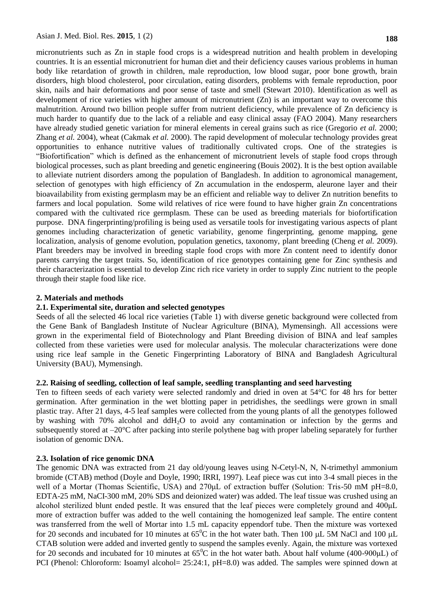micronutrients such as Zn in staple food crops is a widespread nutrition and health problem in developing countries. It is an essential micronutrient for human diet and their deficiency causes various problems in human body like retardation of growth in children, male reproduction, low blood sugar, poor bone growth, brain disorders, high blood cholesterol, poor circulation, eating disorders, problems with female reproduction, poor skin, nails and hair deformations and poor sense of taste and smell (Stewart 2010). Identification as well as development of rice varieties with higher amount of micronutrient (Zn) is an important way to overcome this malnutrition. Around two billion people suffer from nutrient deficiency, while prevalence of Zn deficiency is much harder to quantify due to the lack of a reliable and easy clinical assay (FAO 2004). Many researchers have already studied genetic variation for mineral elements in cereal grains such as rice (Gregorio *et al.* 2000; Zhang *et al.* 2004), wheat (Cakmak *et al.* 2000). The rapid development of molecular technology provides great opportunities to enhance nutritive values of traditionally cultivated crops. One of the strategies is "Biofortification" which is defined as the enhancement of micronutrient levels of staple food crops through biological processes, such as plant breeding and genetic engineering (Bouis 2002). It is the best option available to alleviate nutrient disorders among the population of Bangladesh. In addition to agronomical management, selection of genotypes with high efficiency of Zn accumulation in the endosperm, aleurone layer and their bioavailability from existing germplasm may be an efficient and reliable way to deliver Zn nutrition benefits to farmers and local population. Some wild relatives of rice were found to have higher grain Zn concentrations compared with the cultivated rice germplasm. These can be used as breeding materials for biofortification purpose. DNA fingerprinting/profiling is being used as versatile tools for investigating various aspects of plant genomes including characterization of genetic variability, genome fingerprinting, genome mapping, gene localization, analysis of genome evolution, population genetics, taxonomy, plant breeding (Cheng *et al.* 2009). Plant breeders may be involved in breeding staple food crops with more Zn content need to identify donor parents carrying the target traits. So, identification of rice genotypes containing gene for Zinc synthesis and their characterization is essential to develop Zinc rich rice variety in order to supply Zinc nutrient to the people through their staple food like rice.

#### **2. Materials and methods**

#### **2.1. Experimental site, duration and selected genotypes**

Seeds of all the selected 46 local rice varieties (Table 1) with diverse genetic background were collected from the Gene Bank of Bangladesh Institute of Nuclear Agriculture (BINA), Mymensingh. All accessions were grown in the experimental field of Biotechnology and Plant Breeding division of BINA and leaf samples collected from these varieties were used for molecular analysis. The molecular characterizations were done using rice leaf sample in the Genetic Fingerprinting Laboratory of BINA and Bangladesh Agricultural University (BAU), Mymensingh.

#### **2.2. Raising of seedling, collection of leaf sample, seedling transplanting and seed harvesting**

Ten to fifteen seeds of each variety were selected randomly and dried in oven at 54°C for 48 hrs for better germination. After germination in the wet blotting paper in petridishes, the seedlings were grown in small plastic tray. After 21 days, 4-5 leaf samples were collected from the young plants of all the genotypes followed by washing with 70% alcohol and ddH2O to avoid any contamination or infection by the germs and subsequently stored at –20°C after packing into sterile polythene bag with proper labeling separately for further isolation of genomic DNA.

#### **2.3. Isolation of rice genomic DNA**

The genomic DNA was extracted from 21 day old/young leaves using N-Cetyl-N, N, N-trimethyl ammonium bromide (CTAB) method (Doyle and Doyle, 1990; IRRI, 1997). Leaf piece was cut into 3-4 small pieces in the well of a Mortar (Thomas Scientific, USA) and 270μL of extraction buffer (Solution: Tris-50 mM pH=8.0, EDTA-25 mM, NaCI-300 mM, 20% SDS and deionized water) was added. The leaf tissue was crushed using an alcohol sterilized blunt ended pestle. It was ensured that the leaf pieces were completely ground and 400μL more of extraction buffer was added to the well containing the homogenized leaf sample. The entire content was transferred from the well of Mortar into 1.5 mL capacity eppendorf tube. Then the mixture was vortexed for 20 seconds and incubated for 10 minutes at  $65^{\circ}$ C in the hot water bath. Then 100 µL 5M NaCl and 100 µL CTAB solution were added and inverted gently to suspend the samples evenly. Again, the mixture was vortexed for 20 seconds and incubated for 10 minutes at  $65^{\circ}$ C in the hot water bath. About half volume (400-900µL) of PCI (Phenol: Chloroform: Isoamyl alcohol= 25:24:1, pH=8.0) was added. The samples were spinned down at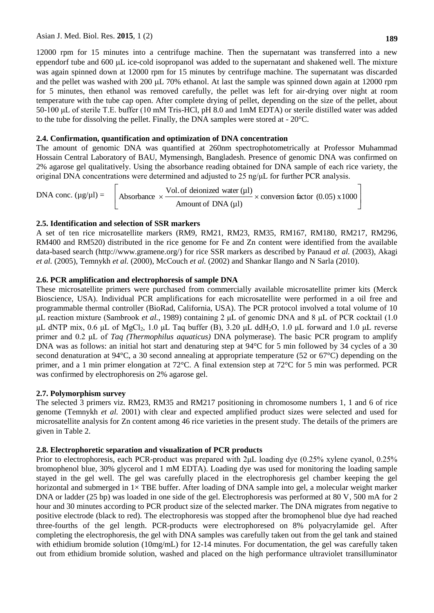12000 rpm for 15 minutes into a centrifuge machine. Then the supernatant was transferred into a new eppendorf tube and 600 µL ice-cold isopropanol was added to the supernatant and shakened well. The mixture was again spinned down at 12000 rpm for 15 minutes by centrifuge machine. The supernatant was discarded and the pellet was washed with 200 µL 70% ethanol. At last the sample was spinned down again at 12000 rpm for 5 minutes, then ethanol was removed carefully, the pellet was left for air-drying over night at room temperature with the tube cap open. After complete drying of pellet, depending on the size of the pellet, about 50-100 μL of sterile T.E. buffer (10 mM Tris-HCl, pH 8.0 and 1mM EDTA) or sterile distilled water was added to the tube for dissolving the pellet. Finally, the DNA samples were stored at - 20°C.

### **2.4. Confirmation, quantification and optimization of DNA concentration**

The amount of genomic DNA was quantified at 260nm spectrophotometrically at Professor Muhammad Hossain Central Laboratory of BAU, Mymensingh, Bangladesh. Presence of genomic DNA was confirmed on 2% agarose gel qualitatively. Using the absorbance reading obtained for DNA sample of each rice variety, the original DNA concentrations were determined and adjusted to 25 ng/μL for further PCR analysis.

DNA conc.  $(\mu g/\mu l) =$  Absorbance  $\times \frac{\text{Vol. of denoted with}}{\Delta m \text{ count of DNA (ul)}} \times \text{conversion factor (0.05) x 1000}$  $\rfloor$  $\overline{\phantom{a}}$  $\mathbf{r}$ L  $\overline{ }$  $x \xrightarrow{\text{center}} x \xrightarrow{\text{center}} x \xrightarrow{\text{conversion factor (0.05) x 1000}}$ Amount of DNA (µl) Vol. of deionized water  $(\mu l)$ Absorbance

### **2.5. Identification and selection of SSR markers**

A set of ten rice microsatellite markers (RM9, RM21, RM23, RM35, RM167, RM180, RM217, RM296, RM400 and RM520) distributed in the rice genome for Fe and Zn content were identified from the available data-based search (http://www.gramene.org/) for rice SSR markers as described by Panaud *et al.* (2003), Akagi *et al.* (2005), Temnykh *et al.* (2000), McCouch *et al.* (2002) and Shankar Ilango and N Sarla (2010).

# **2.6. PCR amplification and electrophoresis of sample DNA**

These microsatellite primers were purchased from commercially available microsatellite primer kits (Merck Bioscience, USA). Individual PCR amplifications for each microsatellite were performed in a oil free and programmable thermal controller (BioRad, California, USA). The PCR protocol involved a total volume of 10 μL reaction mixture (Sambrook *et al.*, 1989) containing 2 μL of genomic DNA and 8 μL of PCR cocktail (1.0 μL dNTP mix, 0.6 μL of MgCl<sub>2</sub>, 1.0 μL Taq buffer (B), 3.20 μL ddH<sub>2</sub>O, 1.0 μL forward and 1.0 μL reverse primer and 0.2 μL of *Taq (Thermophilus aquaticus)* DNA polymerase). The basic PCR program to amplify DNA was as follows: an initial hot start and denaturing step at 94°C for 5 min followed by 34 cycles of a 30 second denaturation at 94°C, a 30 second annealing at appropriate temperature (52 or 67°C) depending on the primer, and a 1 min primer elongation at 72°C. A final extension step at 72°C for 5 min was performed. PCR was confirmed by electrophoresis on 2% agarose gel.

#### **2.7. Polymorphism survey**

The selected 3 primers viz. RM23, RM35 and RM217 positioning in chromosome numbers 1, 1 and 6 of rice genome (Temnykh *et al.* 2001) with clear and expected amplified product sizes were selected and used for microsatellite analysis for Zn content among 46 rice varieties in the present study. The details of the primers are given in Table 2.

# **2.8. Electrophoretic separation and visualization of PCR products**

Prior to electrophoresis, each PCR-product was prepared with 2μL loading dye (0.25% xylene cyanol, 0.25% bromophenol blue, 30% glycerol and 1 mM EDTA). Loading dye was used for monitoring the loading sample stayed in the gel well. The gel was carefully placed in the electrophoresis gel chamber keeping the gel horizontal and submerged in  $1 \times$  TBE buffer. After loading of DNA sample into gel, a molecular weight marker DNA or ladder (25 bp) was loaded in one side of the gel. Electrophoresis was performed at 80 V, 500 mA for 2 hour and 30 minutes according to PCR product size of the selected marker. The DNA migrates from negative to positive electrode (black to red). The electrophoresis was stopped after the bromophenol blue dye had reached three-fourths of the gel length. PCR-products were electrophoresed on 8% polyacrylamide gel. After completing the electrophoresis, the gel with DNA samples was carefully taken out from the gel tank and stained with ethidium bromide solution (10mg/mL) for 12-14 minutes. For documentation, the gel was carefully taken out from ethidium bromide solution, washed and placed on the high performance ultraviolet transilluminator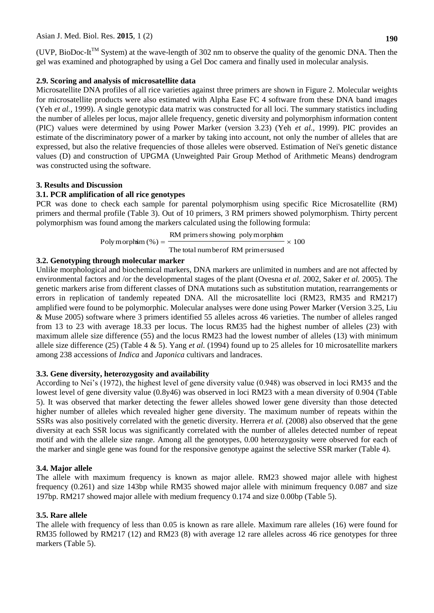(UVP, BioDoc-It<sup>TM</sup> System) at the wave-length of 302 nm to observe the quality of the genomic DNA. Then the gel was examined and photographed by using a Gel Doc camera and finally used in molecular analysis.

### **2.9. Scoring and analysis of microsatellite data**

Microsatellite DNA profiles of all rice varieties against three primers are shown in Figure 2. Molecular weights for microsatellite products were also estimated with Alpha Ease FC 4 software from these DNA band images (Yeh *et al.,* 1999). A single genotypic data matrix was constructed for all loci. The summary statistics including the number of alleles per locus, major allele frequency, genetic diversity and polymorphism information content (PIC) values were determined by using Power Marker (version 3.23) (Yeh *et al.,* 1999). PIC provides an estimate of the discriminatory power of a marker by taking into account, not only the number of alleles that are expressed, but also the relative frequencies of those alleles were observed. Estimation of Nei's genetic distance values (D) and construction of UPGMA (Unweighted Pair Group Method of Arithmetic Means) dendrogram was constructed using the software.

### **3. Results and Discussion**

# **3.1. PCR amplification of all rice genotypes**

PCR was done to check each sample for parental polymorphism using specific Rice Microsatellite (RM) primers and thermal profile (Table 3). Out of 10 primers, 3 RM primers showed polymorphism. Thirty percent polymorphism was found among the markers calculated using the following formula:

Poly morphism 
$$
(\%) = \frac{RM \text{ primers showing poly morphism}}{\text{The total number of RM primersused}} \times 100
$$

### **3.2. Genotyping through molecular marker**

Unlike morphological and biochemical markers, DNA markers are unlimited in numbers and are not affected by environmental factors and /or the developmental stages of the plant (Ovesna *et al.* 2002, Saker *et al.* 2005). The genetic markers arise from different classes of DNA mutations such as substitution mutation, rearrangements or errors in replication of tandemly repeated DNA. All the microsatellite loci (RM23, RM35 and RM217) amplified were found to be polymorphic. Molecular analyses were done using Power Marker (Version 3.25, Liu & Muse 2005) software where 3 primers identified 55 alleles across 46 varieties. The number of alleles ranged from 13 to 23 with average 18.33 per locus. The locus RM35 had the highest number of alleles (23) with maximum allele size difference (55) and the locus RM23 had the lowest number of alleles (13) with minimum allele size difference (25) (Table 4 & 5). Yang *et al.* (1994) found up to 25 alleles for 10 microsatellite markers among 238 accessions of *Indica* and *Japonica* cultivars and landraces.

#### **3.3. Gene diversity, heterozygosity and availability**

According to Nei's (1972), the highest level of gene diversity value (0.948) was observed in loci RM35 and the lowest level of gene diversity value (0.8y46) was observed in loci RM23 with a mean diversity of 0.904 (Table 5). It was observed that marker detecting the fewer alleles showed lower gene diversity than those detected higher number of alleles which revealed higher gene diversity. The maximum number of repeats within the SSRs was also positively correlated with the genetic diversity. Herrera *et al.* (2008) also observed that the gene diversity at each SSR locus was significantly correlated with the number of alleles detected number of repeat motif and with the allele size range. Among all the genotypes, 0.00 heterozygosity were observed for each of the marker and single gene was found for the responsive genotype against the selective SSR marker (Table 4).

# **3.4. Major allele**

The allele with maximum frequency is known as major allele. RM23 showed major allele with highest frequency (0.261) and size 143bp while RM35 showed major allele with minimum frequency 0.087 and size 197bp. RM217 showed major allele with medium frequency 0.174 and size 0.00bp (Table 5).

# **3.5. Rare allele**

The allele with frequency of less than 0.05 is known as rare allele. Maximum rare alleles (16) were found for RM35 followed by RM217 (12) and RM23 (8) with average 12 rare alleles across 46 rice genotypes for three markers (Table 5).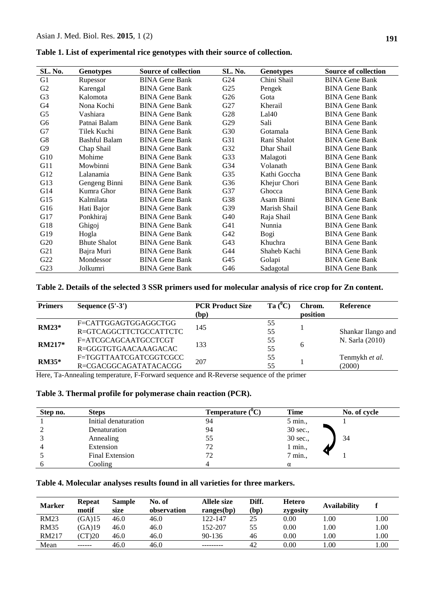| SL. No.        | <b>Genotypes</b>     | <b>Source of collection</b> | SL. No.         | <b>Genotypes</b> | <b>Source of collection</b> |
|----------------|----------------------|-----------------------------|-----------------|------------------|-----------------------------|
| G <sub>1</sub> | Rupessor             | <b>BINA Gene Bank</b>       | G24             | Chini Shail      | <b>BINA Gene Bank</b>       |
| G2             | Karengal             | <b>BINA Gene Bank</b>       | G <sub>25</sub> | Pengek           | <b>BINA Gene Bank</b>       |
| G <sub>3</sub> | Kalomota             | <b>BINA Gene Bank</b>       | G <sub>26</sub> | Gota             | <b>BINA Gene Bank</b>       |
| G4             | Nona Kochi           | <b>BINA Gene Bank</b>       | G27             | Kherail          | <b>BINA Gene Bank</b>       |
| G5             | Vashiara             | <b>BINA Gene Bank</b>       | G28             | Lal40            | <b>BINA Gene Bank</b>       |
| G <sub>6</sub> | Patnai Balam         | <b>BINA Gene Bank</b>       | G29             | Sali             | <b>BINA Gene Bank</b>       |
| G7             | Tilek Kuchi          | <b>BINA Gene Bank</b>       | G30             | Gotamala         | <b>BINA Gene Bank</b>       |
| G8             | <b>Bashful Balam</b> | <b>BINA Gene Bank</b>       | G31             | Rani Shalot      | <b>BINA Gene Bank</b>       |
| G <sub>9</sub> | Chap Shail           | <b>BINA Gene Bank</b>       | G32             | Dhar Shail       | <b>BINA Gene Bank</b>       |
| G10            | Mohime               | <b>BINA Gene Bank</b>       | G33             | Malagoti         | <b>BINA Gene Bank</b>       |
| G11            | Mowbinni             | <b>BINA Gene Bank</b>       | G34             | Volanath         | <b>BINA Gene Bank</b>       |
| G12            | Lalanamia            | <b>BINA Gene Bank</b>       | G <sub>35</sub> | Kathi Goccha     | <b>BINA Gene Bank</b>       |
| G13            | Gengeng Binni        | <b>BINA Gene Bank</b>       | G <sub>36</sub> | Khejur Chori     | <b>BINA Gene Bank</b>       |
| G14            | Kumra Ghor           | <b>BINA Gene Bank</b>       | G37             | Ghocca           | <b>BINA Gene Bank</b>       |
| G15            | Kalmilata            | <b>BINA Gene Bank</b>       | G38             | Asam Binni       | <b>BINA Gene Bank</b>       |
| G16            | Hati Bajor           | <b>BINA Gene Bank</b>       | G39             | Marish Shail     | <b>BINA Gene Bank</b>       |
| G17            | Ponkhiraj            | <b>BINA Gene Bank</b>       | G40             | Raja Shail       | <b>BINA Gene Bank</b>       |
| G18            | Ghigoj               | <b>BINA Gene Bank</b>       | G41             | Nunnia           | <b>BINA Gene Bank</b>       |
| G19            | Hogla                | <b>BINA Gene Bank</b>       | G42             | Bogi             | <b>BINA Gene Bank</b>       |
| G20            | <b>Bhute Shalot</b>  | <b>BINA Gene Bank</b>       | G <sub>43</sub> | Khuchra          | <b>BINA Gene Bank</b>       |
| G21            | Bajra Muri           | <b>BINA Gene Bank</b>       | G44             | Shaheb Kachi     | <b>BINA Gene Bank</b>       |
| G22            | Mondessor            | <b>BINA Gene Bank</b>       | G <sub>45</sub> | Golapi           | <b>BINA Gene Bank</b>       |
| G23            | Jolkumri             | <b>BINA Gene Bank</b>       | G46             | Sadagotal        | <b>BINA Gene Bank</b>       |

**Table 1. List of experimental rice genotypes with their source of collection.**

### **Table 2. Details of the selected 3 SSR primers used for molecular analysis of rice crop for Zn content.**

| <b>Primers</b>   | Sequence $(5'-3')$                                | <b>PCR Product Size</b><br>(bp) | Ta $(^0C)$ | Chrom.<br>position | Reference                |
|------------------|---------------------------------------------------|---------------------------------|------------|--------------------|--------------------------|
| <b>RM23*</b>     | F=CATTGGAGTGGAGGCTGG<br>R=GTCAGGCTTCTGCCATTCTC    | 145                             | 55<br>55   |                    | Shankar Ilango and       |
| <b>RM217*</b>    | F=ATCGCAGCAATGCCTCGT<br>$R = GGGTTGTGAACAAAGACAC$ | 133                             | 55<br>55   | 6                  | N. Sarla (2010)          |
| $RM35*$<br>$- -$ | F=TGGTTAATCGATCGGTCGCC<br>R=CGACGGCAGATATACACGG   | 207                             | 55<br>55   |                    | Tenmykh et al.<br>(2000) |

Here, Ta-Annealing temperature, F-Forward sequence and R-Reverse sequence of the primer

|  |  |  | Table 3. Thermal profile for polymerase chain reaction (PCR). |  |  |  |
|--|--|--|---------------------------------------------------------------|--|--|--|
|--|--|--|---------------------------------------------------------------|--|--|--|

| Step no. | <b>Steps</b>           | Temperature $(^0C)$ | <b>Time</b>      | No. of cycle |
|----------|------------------------|---------------------|------------------|--------------|
|          | Initial denaturation   | 94                  | 5 min.,          |              |
|          | Denaturation           | 94                  | 30 sec.,         |              |
|          | Annealing              | 55                  | 30 sec.,         | 34           |
|          | Extension              | 72                  | 1 min.,          |              |
|          | <b>Final Extension</b> | 72                  | $7 \text{ min.}$ |              |
|          | Cooling                |                     | α                |              |

# **Table 4. Molecular analyses results found in all varieties for three markers.**

| <b>Marker</b> | <b>Repeat</b><br>motif | <b>Sample</b><br>size | No. of<br>observation | Allele size<br>range(s(bp)) | Diff.<br>(bp) | <b>Hetero</b><br>zygosity | <b>Availability</b> |      |
|---------------|------------------------|-----------------------|-----------------------|-----------------------------|---------------|---------------------------|---------------------|------|
| <b>RM23</b>   | (GA)15                 | 46.0                  | 46.0                  | 122-147                     | 25            | 0.00                      | 00.                 | .00. |
| <b>RM35</b>   | (GA)19                 | 46.0                  | 46.0                  | 152-207                     | 55            | 0.00                      | .00                 | 00.1 |
| RM217         | (CT)20                 | 46.0                  | 46.0                  | $90 - 136$                  | 46            | 0.00                      | .00.                | 1.00 |
| Mean          | ------                 | 46.0                  | 46.0                  |                             | 42            | 0.00                      | .00.                | 00.1 |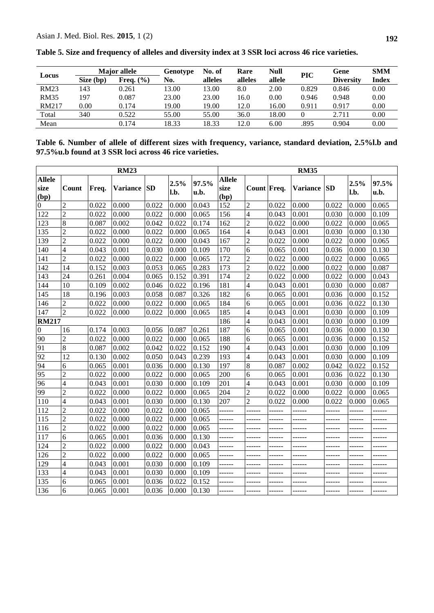|              | <b>Major</b> allele |               | Genotype | No. of  | Rare    | <b>Null</b> | <b>PIC</b> | Gene             | <b>SMM</b> |
|--------------|---------------------|---------------|----------|---------|---------|-------------|------------|------------------|------------|
| Locus        | Size (bp)           | Freq. $(\% )$ | No.      | alleles | alleles | allele      |            | <b>Diversity</b> | Index      |
| <b>RM23</b>  | 143                 | 0.261         | 13.00    | 13.00   | 8.0     | 2.00        | 0.829      | 0.846            | 0.00       |
| <b>RM35</b>  | 197                 | 0.087         | 23.00    | 23.00   | 16.0    | 0.00        | 0.946      | 0.948            | 0.00       |
| <b>RM217</b> | 0.00                | 0.174         | 19.00    | 19.00   | 12.0    | 16.00       | 0.911      | 0.917            | 0.00       |
| Total        | 340                 | 0.522         | 55.00    | 55.00   | 36.0    | 18.00       |            | 2.711            | 0.00       |
| Mean         |                     | 0.174         | 18.33    | 18.33   | 12.0    | 6.00        | .895       | 0.904            | 0.00       |

**Table 5. Size and frequency of alleles and diversity index at 3 SSR loci across 46 rice varieties.**

**Table 6. Number of allele of different sizes with frequency, variance, standard deviation, 2.5%l.b and 97.5%u.b found at 3 SSR loci across 46 rice varieties.**

|                               | <b>RM23</b>     |       |             |       |              |               |                               | <b>RM35</b>              |               |             |        |              |               |
|-------------------------------|-----------------|-------|-------------|-------|--------------|---------------|-------------------------------|--------------------------|---------------|-------------|--------|--------------|---------------|
| <b>Allele</b><br>size<br>(bp) | Count           | Freq. | Variance SD |       | 2.5%<br>l.b. | 97.5%<br>u.b. | <b>Allele</b><br>size<br>(bp) | Count Freq.              |               | Variance SD |        | 2.5%<br>l.b. | 97.5%<br>u.b. |
| $\overline{0}$                | $\overline{c}$  | 0.022 | 0.000       | 0.022 | 0.000        | 0.043         | 152                           | $\mathbf{2}$             | 0.022         | 0.000       | 0.022  | 0.000        | 0.065         |
| 122                           | $\overline{2}$  | 0.022 | 0.000       | 0.022 | 0.000        | 0.065         | 156                           | $\overline{4}$           | 0.043         | 0.001       | 0.030  | 0.000        | 0.109         |
| 123                           | 8               | 0.087 | 0.002       | 0.042 | 0.022        | 0.174         | 162                           | $\overline{c}$           | 0.022         | 0.000       | 0.022  | 0.000        | 0.065         |
| 135                           | $\overline{c}$  | 0.022 | 0.000       | 0.022 | 0.000        | 0.065         | 164                           | $\overline{\mathcal{L}}$ | 0.043         | 0.001       | 0.030  | 0.000        | 0.130         |
| 139                           | $\overline{2}$  | 0.022 | 0.000       | 0.022 | 0.000        | 0.043         | 167                           | $\overline{2}$           | 0.022         | 0.000       | 0.022  | 0.000        | 0.065         |
| 140                           | $\overline{4}$  | 0.043 | 0.001       | 0.030 | 0.000        | 0.109         | 170                           | 6                        | 0.065         | 0.001       | 0.036  | 0.000        | 0.130         |
| 141                           | $\overline{2}$  | 0.022 | 0.000       | 0.022 | 0.000        | 0.065         | 172                           | $\overline{c}$           | 0.022         | 0.000       | 0.022  | 0.000        | 0.065         |
| 142                           | $\overline{14}$ | 0.152 | 0.003       | 0.053 | 0.065        | 0.283         | 173                           | $\overline{c}$           | 0.022         | 0.000       | 0.022  | 0.000        | 0.087         |
| 143                           | 24              | 0.261 | 0.004       | 0.065 | 0.152        | 0.391         | 174                           | $\overline{c}$           | 0.022         | 0.000       | 0.022  | 0.000        | 0.043         |
| 144                           | 10              | 0.109 | 0.002       | 0.046 | 0.022        | 0.196         | 181                           | 4                        | 0.043         | 0.001       | 0.030  | 0.000        | 0.087         |
| 145                           | 18              | 0.196 | 0.003       | 0.058 | 0.087        | 0.326         | 182                           | 6                        | 0.065         | 0.001       | 0.036  | 0.000        | 0.152         |
| 146                           | $\overline{2}$  | 0.022 | 0.000       | 0.022 | 0.000        | 0.065         | 184                           | 6                        | 0.065         | 0.001       | 0.036  | 0.022        | 0.130         |
| 147                           | $\overline{2}$  | 0.022 | 0.000       | 0.022 | 0.000        | 0.065         | 185                           | 4                        | 0.043         | 0.001       | 0.030  | 0.000        | 0.109         |
| <b>RM217</b>                  |                 |       |             |       |              |               | 186                           | 4                        | 0.043         | 0.001       | 0.030  | 0.000        | 0.109         |
| $\boldsymbol{0}$              | 16              | 0.174 | 0.003       | 0.056 | 0.087        | 0.261         | 187                           | 6                        | 0.065         | 0.001       | 0.036  | 0.000        | 0.130         |
| 90                            | $\overline{2}$  | 0.022 | 0.000       | 0.022 | 0.000        | 0.065         | 188                           | 6                        | 0.065         | 0.001       | 0.036  | 0.000        | 0.152         |
| 91                            | 8               | 0.087 | 0.002       | 0.042 | 0.022        | 0.152         | 190                           | 4                        | 0.043         | 0.001       | 0.030  | 0.000        | 0.109         |
| 92                            | 12              | 0.130 | 0.002       | 0.050 | 0.043        | 0.239         | 193                           | 4                        | 0.043         | 0.001       | 0.030  | 0.000        | 0.109         |
| 94                            | 6               | 0.065 | 0.001       | 0.036 | 0.000        | 0.130         | 197                           | 8                        | 0.087         | 0.002       | 0.042  | 0.022        | 0.152         |
| 95                            | $\overline{2}$  | 0.022 | 0.000       | 0.022 | 0.000        | 0.065         | 200                           | 6                        | 0.065         | 0.001       | 0.036  | 0.022        | 0.130         |
| 96                            | $\overline{4}$  | 0.043 | 0.001       | 0.030 | 0.000        | 0.109         | 201                           | 4                        | 0.043         | 0.001       | 0.030  | 0.000        | 0.109         |
| 99                            | $\overline{2}$  | 0.022 | 0.000       | 0.022 | 0.000        | 0.065         | 204                           | $\overline{2}$           | 0.022         | 0.000       | 0.022  | 0.000        | 0.065         |
| 110                           | $\overline{4}$  | 0.043 | 0.001       | 0.030 | 0.000        | 0.130         | 207                           | $\overline{2}$           | 0.022         | 0.000       | 0.022  | 0.000        | 0.065         |
| 112                           | $\overline{2}$  | 0.022 | 0.000       | 0.022 | 0.000        | 0.065         | ------                        | ------                   | $- - - - - -$ |             | ------ | ------       |               |
| 115                           | $\overline{c}$  | 0.022 | 0.000       | 0.022 | 0.000        | 0.065         | ------                        | ------                   | ------        |             |        | ------       |               |
| 116                           | $\overline{2}$  | 0.022 | 0.000       | 0.022 | 0.000        | 0.065         | ------                        | ------                   | ------        | ------      | ------ | ------       | ------        |
| 117                           | 6               | 0.065 | 0.001       | 0.036 | 0.000        | 0.130         | ------                        | ------                   | ------        |             |        | ------       |               |
| 124                           | $\overline{2}$  | 0.022 | 0.000       | 0.022 | 0.000        | 0.043         | ------                        | ------                   |               |             |        | ------       |               |
| 126                           | $\overline{2}$  | 0.022 | 0.000       | 0.022 | 0.000        | 0.065         | ------                        | ------                   |               |             |        |              | ------        |
| 129                           | $\overline{4}$  | 0.043 | 0.001       | 0.030 | 0.000        | 0.109         | ------                        | ------                   | ------        |             |        | ------       | ------        |
| 133                           | $\overline{4}$  | 0.043 | 0.001       | 0.030 | 0.000        | 0.109         | ------                        | ------                   | ------        |             |        |              |               |
| 135                           | 6               | 0.065 | 0.001       | 0.036 | 0.022        | 0.152         | ------                        | ------                   | ------        | ------      | ------ | ------       | ------        |
| 136                           | 6               | 0.065 | 0.001       | 0.036 | 0.000        | 0.130         | ------                        | ------                   | ------        |             | ------ | ------       |               |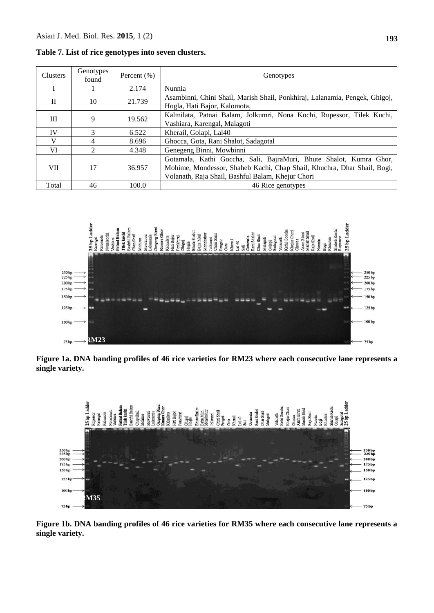| Clusters   | Genotypes<br>found | Percent $(\% )$ | Genotypes                                                                                                                                                                                          |
|------------|--------------------|-----------------|----------------------------------------------------------------------------------------------------------------------------------------------------------------------------------------------------|
|            |                    | 2.174           | Nunnia                                                                                                                                                                                             |
| П          | 10                 | 21.739          | Asambinni, Chini Shail, Marish Shail, Ponkhiraj, Lalanamia, Pengek, Ghigoj,<br>Hogla, Hati Bajor, Kalomota,                                                                                        |
| Ш          | 9                  | 19.562          | Kalmilata, Patnai Balam, Jolkumri, Nona Kochi, Rupessor, Tilek Kuchi,<br>Vashiara, Karengal, Malagoti                                                                                              |
| <b>IV</b>  | 3                  | 6.522           | Kherail, Golapi, Lal40                                                                                                                                                                             |
| V          | 4                  | 8.696           | Ghocca, Gota, Rani Shalot, Sadagotal                                                                                                                                                               |
| VI         | $\mathfrak{D}$     | 4.348           | Genegeng Binni, Mowbinni                                                                                                                                                                           |
| <b>VII</b> | 17                 | 36.957          | Gotamala, Kathi Goccha, Sali, BajraMuri, Bhute Shalot, Kumra Ghor,<br>Mohime, Mondessor, Shaheb Kachi, Chap Shail, Khuchra, Dhar Shail, Bogi,<br>Volanath, Raja Shail, Bashful Balam, Khejur Chori |
| Total      | 46                 | 100.0           | 46 Rice genotypes                                                                                                                                                                                  |

**Table 7. List of rice genotypes into seven clusters.**



**Figure 1a. DNA banding profiles of 46 rice varieties for RM23 where each consecutive lane represents a single variety.**



**Figure 1b. DNA banding profiles of 46 rice varieties for RM35 where each consecutive lane represents a single variety.**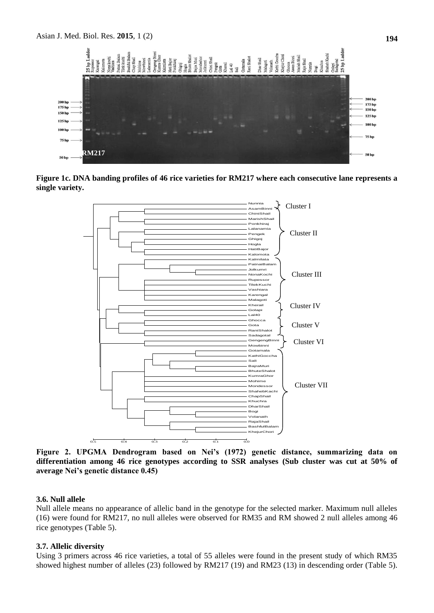Asian J. Med. Biol. Res. **2015**, 1 (2) **194**



**Figure 1c. DNA banding profiles of 46 rice varieties for RM217 where each consecutive lane represents a single variety.**



**Figure 2. UPGMA Dendrogram based on Nei's (1972) genetic distance, summarizing data on differentiation among 46 rice genotypes according to SSR analyses (Sub cluster was cut at 50% of average Nei's genetic distance 0.45)**

#### **3.6. Null allele**

Null allele means no appearance of allelic band in the genotype for the selected marker. Maximum null alleles (16) were found for RM217, no null alleles were observed for RM35 and RM showed 2 null alleles among 46 rice genotypes (Table 5).

#### **3.7. Allelic diversity**

Using 3 primers across 46 rice varieties, a total of 55 alleles were found in the present study of which RM35 showed highest number of alleles (23) followed by RM217 (19) and RM23 (13) in descending order (Table 5).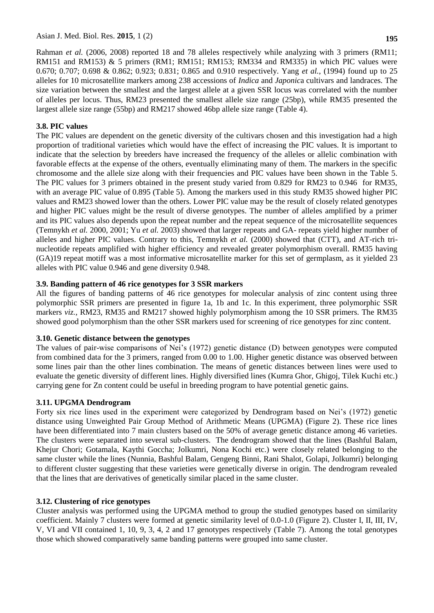Rahman *et al.* (2006, 2008) reported 18 and 78 alleles respectively while analyzing with 3 primers (RM11; RM151 and RM153)  $\&$  5 primers (RM1; RM151; RM153; RM334 and RM335) in which PIC values were 0.670; 0.707; 0.698 & 0.862; 0.923; 0.831; 0.865 and 0.910 respectively. Yang *et al.*, (1994) found up to 25 alleles for 10 microsatellite markers among 238 accessions of *Indica* and *Japonic*a cultivars and landraces. The size variation between the smallest and the largest allele at a given SSR locus was correlated with the number of alleles per locus. Thus, RM23 presented the smallest allele size range (25bp), while RM35 presented the largest allele size range (55bp) and RM217 showed 46bp allele size range (Table 4).

### **3.8. PIC values**

The PIC values are dependent on the genetic diversity of the cultivars chosen and this investigation had a high proportion of traditional varieties which would have the effect of increasing the PIC values. It is important to indicate that the selection by breeders have increased the frequency of the alleles or allelic combination with favorable effects at the expense of the others, eventually eliminating many of them. The markers in the specific chromosome and the allele size along with their frequencies and PIC values have been shown in the Table 5. The PIC values for 3 primers obtained in the present study varied from 0.829 for RM23 to 0.946 for RM35, with an average PIC value of 0.895 (Table 5). Among the markers used in this study RM35 showed higher PIC values and RM23 showed lower than the others. Lower PIC value may be the result of closely related genotypes and higher PIC values might be the result of diverse genotypes. The number of alleles amplified by a primer and its PIC values also depends upon the repeat number and the repeat sequence of the microsatellite sequences (Temnykh *et al.* 2000, 2001; Yu *et al.* 2003) showed that larger repeats and GA- repeats yield higher number of alleles and higher PIC values. Contrary to this, Temnykh *et al.* (2000) showed that (CTT), and AT-rich trinucleotide repeats amplified with higher efficiency and revealed greater polymorphism overall. RM35 having (GA)19 repeat motiff was a most informative microsatellite marker for this set of germplasm, as it yielded 23 alleles with PIC value 0.946 and gene diversity 0.948.

### **3.9. Banding pattern of 46 rice genotypes for 3 SSR markers**

All the figures of banding patterns of 46 rice genotypes for molecular analysis of zinc content using three polymorphic SSR primers are presented in figure 1a, 1b and 1c. In this experiment, three polymorphic SSR markers *viz.*, RM23, RM35 and RM217 showed highly polymorphism among the 10 SSR primers. The RM35 showed good polymorphism than the other SSR markers used for screening of rice genotypes for zinc content.

#### **3.10. Genetic distance between the genotypes**

The values of pair-wise comparisons of Nei's (1972) genetic distance (D) between genotypes were computed from combined data for the 3 primers, ranged from 0.00 to 1.00. Higher genetic distance was observed between some lines pair than the other lines combination. The means of genetic distances between lines were used to evaluate the genetic diversity of different lines. Highly diversified lines (Kumra Ghor, Ghigoj, Tilek Kuchi etc.) carrying gene for Zn content could be useful in breeding program to have potential genetic gains.

# **3.11. UPGMA Dendrogram**

Forty six rice lines used in the experiment were categorized by Dendrogram based on Nei's (1972) genetic distance using Unweighted Pair Group Method of Arithmetic Means (UPGMA) (Figure 2). These rice lines have been differentiated into 7 main clusters based on the 50% of average genetic distance among 46 varieties. The clusters were separated into several sub-clusters. The dendrogram showed that the lines (Bashful Balam, Khejur Chori; Gotamala, Kaythi Goccha; Jolkumri, Nona Kochi etc.) were closely related belonging to the same cluster while the lines (Nunnia, Bashful Balam, Gengeng Binni, Rani Shalot, Golapi, Jolkumri) belonging to different cluster suggesting that these varieties were genetically diverse in origin. The dendrogram revealed that the lines that are derivatives of genetically similar placed in the same cluster.

#### **3.12. Clustering of rice genotypes**

Cluster analysis was performed using the UPGMA method to group the studied genotypes based on similarity coefficient. Mainly 7 clusters were formed at genetic similarity level of 0.0-1.0 (Figure 2). Cluster I, II, III, IV, V, VI and VII contained 1, 10, 9, 3, 4, 2 and 17 genotypes respectively (Table 7). Among the total genotypes those which showed comparatively same banding patterns were grouped into same cluster.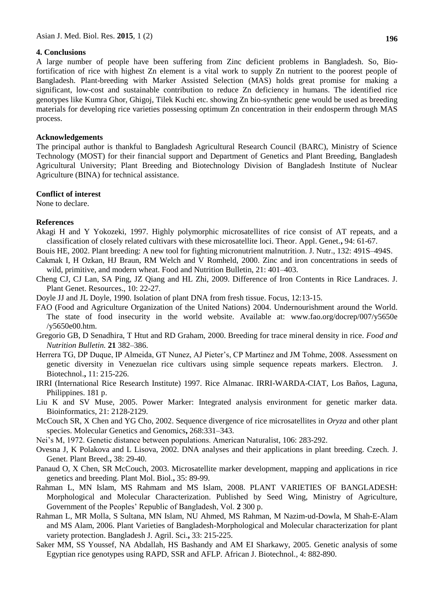#### **4. Conclusions**

A large number of people have been suffering from Zinc deficient problems in Bangladesh. So, Biofortification of rice with highest Zn element is a vital work to supply Zn nutrient to the poorest people of Bangladesh. Plant-breeding with Marker Assisted Selection (MAS) holds great promise for making a significant, low-cost and sustainable contribution to reduce Zn deficiency in humans. The identified rice genotypes like Kumra Ghor, Ghigoj, Tilek Kuchi etc. showing Zn bio-synthetic gene would be used as breeding materials for developing rice varieties possessing optimum Zn concentration in their endosperm through MAS process.

#### **Acknowledgements**

The principal author is thankful to Bangladesh Agricultural Research Council (BARC), Ministry of Science Technology (MOST) for their financial support and Department of Genetics and Plant Breeding, Bangladesh Agricultural University; Plant Breeding and Biotechnology Division of Bangladesh Institute of Nuclear Agriculture (BINA) for technical assistance.

#### **Conflict of interest**

None to declare.

#### **References**

- Akagi H and Y Yokozeki, 1997. Highly polymorphic microsatellites of rice consist of AT repeats, and a classification of closely related cultivars with these microsatellite loci. Theor. Appl. Genet.**,** 94: 61-67.
- Bouis HE, 2002. Plant breeding: A new tool for fighting micronutrient malnutrition. J. Nutr., 132: 491S–494S.
- Cakmak I, H Ozkan, HJ Braun, RM Welch and V Romheld, 2000. Zinc and iron concentrations in seeds of wild, primitive, and modern wheat. Food and Nutrition Bulletin, 21: 401–403.
- Cheng CJ, CJ Lan, SA Ping, JZ Qiang and HL Zhi, 2009. Difference of Iron Contents in Rice Landraces. J. Plant Genet. Resources., 10: 22-27.
- Doyle JJ and JL Doyle, 1990. Isolation of plant DNA from fresh tissue. Focus, 12:13-15.
- FAO (Food and Agriculture Organization of the United Nations) 2004. Undernourishment around the World. The state of food insecurity in the world website. Available at: [www.fao.org/docrep/007/y5650e](http://www.fao.org/docrep/007/y5650e%20/y5650e00.htm)  [/y5650e00.htm.](http://www.fao.org/docrep/007/y5650e%20/y5650e00.htm)
- Gregorio GB, D Senadhira, T Htut and RD Graham, 2000. Breeding for trace mineral density in rice. *Food and Nutrition Bulletin.* **21** 382–386.
- Herrera TG, DP Duque, IP Almeida, GT Nunez, AJ Pieter's, CP Martinez and JM Tohme, 2008. Assessment on genetic diversity in Venezuelan rice cultivars using simple sequence repeats markers. Electron. J. Biotechnol.**,** 11: 215-226.
- IRRI (International Rice Research Institute) 1997. Rice Almanac. IRRI-WARDA-CIAT, Los Baños, Laguna, Philippines. 181 p.
- Liu K and SV Muse, 2005. Power Marker: Integrated analysis environment for genetic marker data. Bioinformatics, 21: 2128-2129.
- McCouch SR, X Chen and YG Cho, 2002. Sequence divergence of rice microsatellites in *Oryza* and other plant species. Molecular Genetics and Genomics**,** 268:331–343.
- Nei's M, 1972. Genetic distance between populations. American Naturalist, 106: 283-292.
- Ovesna J, K Polakova and L Lisova, 2002. DNA analyses and their applications in plant breeding. Czech. J. Genet. Plant Breed.**,** 38: 29-40.
- Panaud O, X Chen, SR McCouch, 2003. Microsatellite marker development, mapping and applications in rice genetics and breeding. Plant Mol. Biol.**,** 35: 89-99.
- Rahman L, MN Islam, MS Rahmam and MS Islam, 2008. PLANT VARIETIES OF BANGLADESH: Morphological and Molecular Characterization. Published by Seed Wing, Ministry of Agriculture, Government of the Peoples' Republic of Bangladesh, Vol. **2** 300 p.
- Rahman L, MR Molla, S Sultana, MN Islam, NU Ahmed, MS Rahman, M Nazim-ud-Dowla, M Shah-E-Alam and MS Alam, 2006. Plant Varieties of Bangladesh-Morphological and Molecular characterization for plant variety protection. Bangladesh J. Agril. Sci.**,** 33: 215-225.
- Saker MM, SS Youssef, NA Abdallah, HS Bashandy and AM EI Sharkawy, 2005. Genetic analysis of some Egyptian rice genotypes using RAPD, SSR and AFLP. African J. Biotechnol.*,* 4: 882-890.